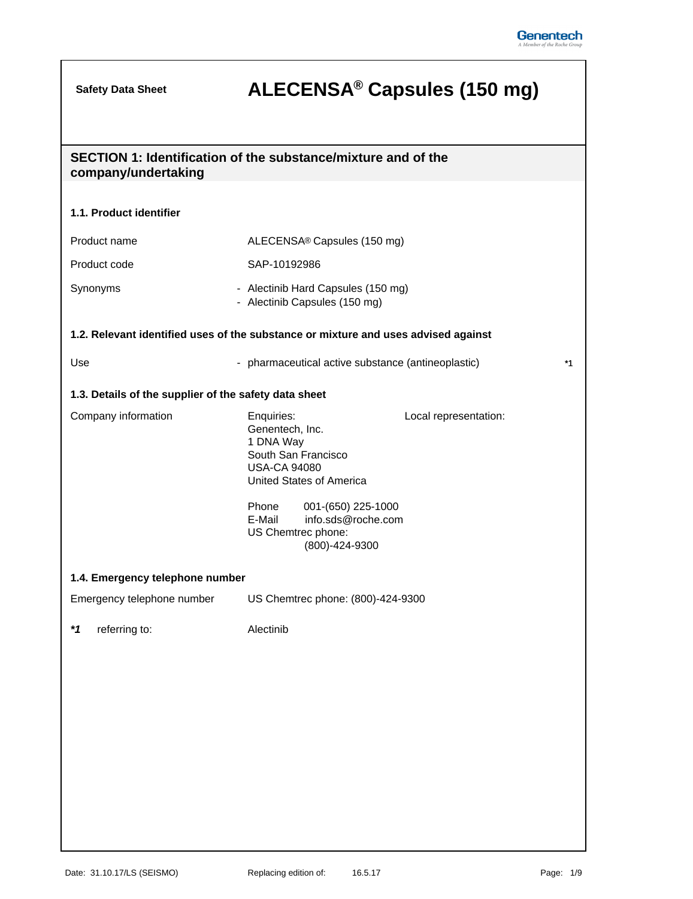## **ALECENSA® Safety Data Sheet Capsules (150 mg)**

| company/undertaking                                   | SECTION 1: Identification of the substance/mixture and of the                                                                                                                                                                      |
|-------------------------------------------------------|------------------------------------------------------------------------------------------------------------------------------------------------------------------------------------------------------------------------------------|
|                                                       |                                                                                                                                                                                                                                    |
| 1.1. Product identifier                               |                                                                                                                                                                                                                                    |
| Product name                                          | ALECENSA® Capsules (150 mg)                                                                                                                                                                                                        |
| Product code                                          | SAP-10192986                                                                                                                                                                                                                       |
| Synonyms                                              | - Alectinib Hard Capsules (150 mg)<br>- Alectinib Capsules (150 mg)                                                                                                                                                                |
|                                                       | 1.2. Relevant identified uses of the substance or mixture and uses advised against                                                                                                                                                 |
| Use                                                   | - pharmaceutical active substance (antineoplastic)<br>*1                                                                                                                                                                           |
| 1.3. Details of the supplier of the safety data sheet |                                                                                                                                                                                                                                    |
| Company information                                   | Enquiries:<br>Local representation:<br>Genentech, Inc.<br>1 DNA Way<br>South San Francisco<br><b>USA-CA 94080</b><br>United States of America<br>Phone<br>001-(650) 225-1000<br>E-Mail<br>info.sds@roche.com<br>US Chemtrec phone: |
|                                                       | (800)-424-9300                                                                                                                                                                                                                     |
| 1.4. Emergency telephone number                       |                                                                                                                                                                                                                                    |
| Emergency telephone number                            | US Chemtrec phone: (800)-424-9300                                                                                                                                                                                                  |
| *1<br>referring to:                                   | Alectinib                                                                                                                                                                                                                          |
|                                                       |                                                                                                                                                                                                                                    |
|                                                       |                                                                                                                                                                                                                                    |
|                                                       |                                                                                                                                                                                                                                    |
|                                                       |                                                                                                                                                                                                                                    |
|                                                       |                                                                                                                                                                                                                                    |
|                                                       |                                                                                                                                                                                                                                    |
|                                                       |                                                                                                                                                                                                                                    |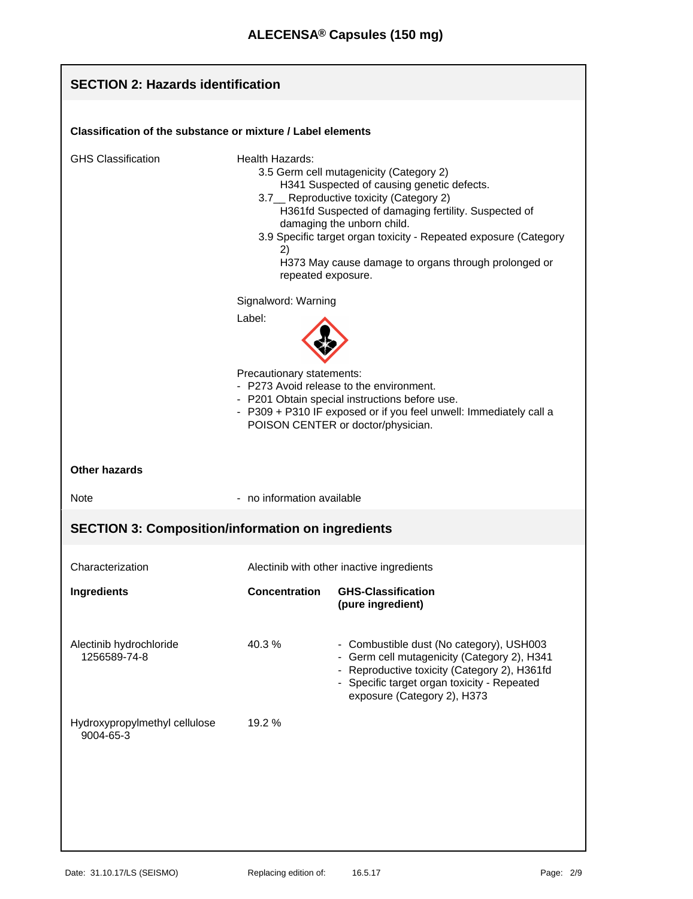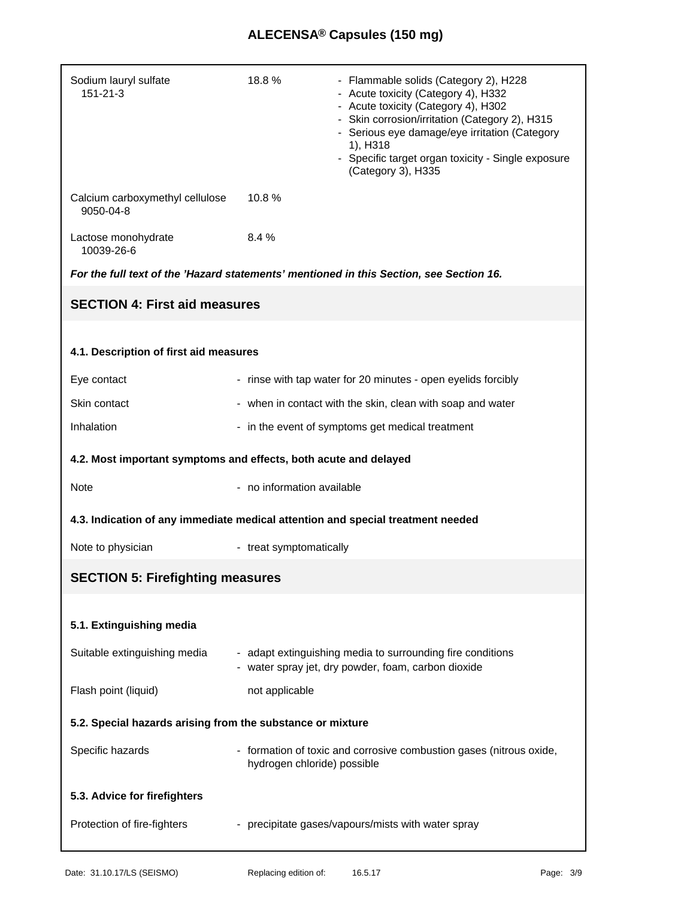## **ALECENSA® Capsules (150 mg)**

| Sodium lauryl sulfate<br>151-21-3                                               | 18.8%                       | - Flammable solids (Category 2), H228<br>- Acute toxicity (Category 4), H332<br>- Acute toxicity (Category 4), H302<br>- Skin corrosion/irritation (Category 2), H315<br>- Serious eye damage/eye irritation (Category<br>1), H318<br>- Specific target organ toxicity - Single exposure<br>(Category 3), H335 |
|---------------------------------------------------------------------------------|-----------------------------|----------------------------------------------------------------------------------------------------------------------------------------------------------------------------------------------------------------------------------------------------------------------------------------------------------------|
| Calcium carboxymethyl cellulose<br>9050-04-8                                    | 10.8%                       |                                                                                                                                                                                                                                                                                                                |
| Lactose monohydrate<br>10039-26-6                                               | 8.4%                        |                                                                                                                                                                                                                                                                                                                |
|                                                                                 |                             | For the full text of the 'Hazard statements' mentioned in this Section, see Section 16.                                                                                                                                                                                                                        |
| <b>SECTION 4: First aid measures</b>                                            |                             |                                                                                                                                                                                                                                                                                                                |
|                                                                                 |                             |                                                                                                                                                                                                                                                                                                                |
| 4.1. Description of first aid measures                                          |                             |                                                                                                                                                                                                                                                                                                                |
| Eye contact                                                                     |                             | - rinse with tap water for 20 minutes - open eyelids forcibly                                                                                                                                                                                                                                                  |
| Skin contact                                                                    |                             | - when in contact with the skin, clean with soap and water                                                                                                                                                                                                                                                     |
| Inhalation                                                                      |                             | - in the event of symptoms get medical treatment                                                                                                                                                                                                                                                               |
| 4.2. Most important symptoms and effects, both acute and delayed                |                             |                                                                                                                                                                                                                                                                                                                |
| Note                                                                            | - no information available  |                                                                                                                                                                                                                                                                                                                |
| 4.3. Indication of any immediate medical attention and special treatment needed |                             |                                                                                                                                                                                                                                                                                                                |
| Note to physician                                                               | - treat symptomatically     |                                                                                                                                                                                                                                                                                                                |
| <b>SECTION 5: Firefighting measures</b>                                         |                             |                                                                                                                                                                                                                                                                                                                |
|                                                                                 |                             |                                                                                                                                                                                                                                                                                                                |
| 5.1. Extinguishing media                                                        |                             |                                                                                                                                                                                                                                                                                                                |
| Suitable extinguishing media                                                    |                             | - adapt extinguishing media to surrounding fire conditions<br>- water spray jet, dry powder, foam, carbon dioxide                                                                                                                                                                                              |
| Flash point (liquid)                                                            | not applicable              |                                                                                                                                                                                                                                                                                                                |
| 5.2. Special hazards arising from the substance or mixture                      |                             |                                                                                                                                                                                                                                                                                                                |
| Specific hazards                                                                | hydrogen chloride) possible | - formation of toxic and corrosive combustion gases (nitrous oxide,                                                                                                                                                                                                                                            |
| 5.3. Advice for firefighters                                                    |                             |                                                                                                                                                                                                                                                                                                                |
| Protection of fire-fighters                                                     |                             | - precipitate gases/vapours/mists with water spray                                                                                                                                                                                                                                                             |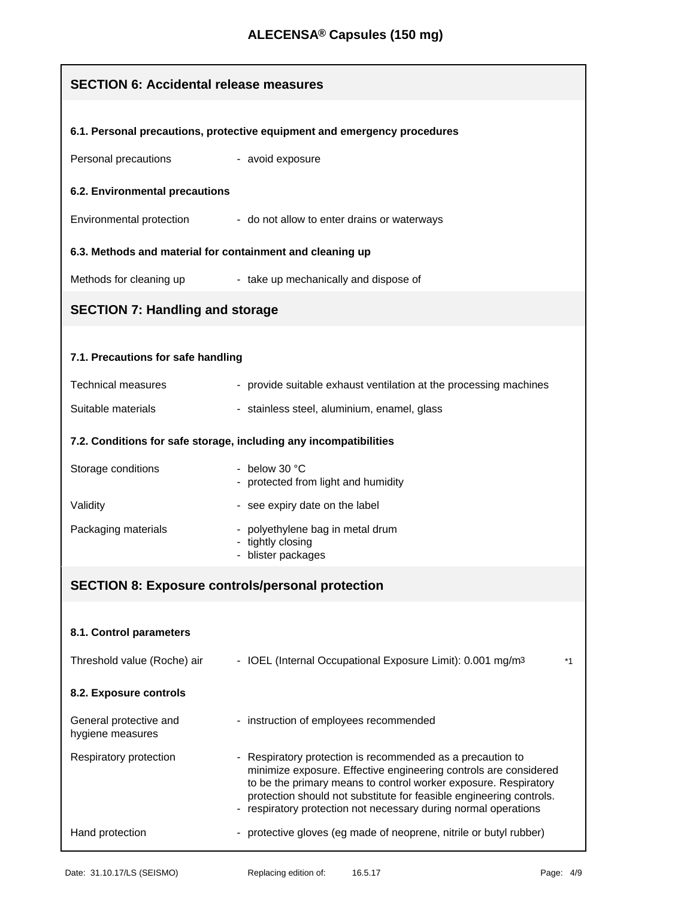| <b>SECTION 6: Accidental release measures</b>                            |                                                                                                                                                                                                                                                                                                                                           |  |
|--------------------------------------------------------------------------|-------------------------------------------------------------------------------------------------------------------------------------------------------------------------------------------------------------------------------------------------------------------------------------------------------------------------------------------|--|
| 6.1. Personal precautions, protective equipment and emergency procedures |                                                                                                                                                                                                                                                                                                                                           |  |
| Personal precautions                                                     | - avoid exposure                                                                                                                                                                                                                                                                                                                          |  |
| 6.2. Environmental precautions                                           |                                                                                                                                                                                                                                                                                                                                           |  |
| Environmental protection                                                 | - do not allow to enter drains or waterways                                                                                                                                                                                                                                                                                               |  |
| 6.3. Methods and material for containment and cleaning up                |                                                                                                                                                                                                                                                                                                                                           |  |
| Methods for cleaning up                                                  | - take up mechanically and dispose of                                                                                                                                                                                                                                                                                                     |  |
| <b>SECTION 7: Handling and storage</b>                                   |                                                                                                                                                                                                                                                                                                                                           |  |
| 7.1. Precautions for safe handling                                       |                                                                                                                                                                                                                                                                                                                                           |  |
| <b>Technical measures</b>                                                | - provide suitable exhaust ventilation at the processing machines                                                                                                                                                                                                                                                                         |  |
| Suitable materials                                                       | - stainless steel, aluminium, enamel, glass                                                                                                                                                                                                                                                                                               |  |
|                                                                          | 7.2. Conditions for safe storage, including any incompatibilities                                                                                                                                                                                                                                                                         |  |
| Storage conditions                                                       | - below 30 $^{\circ}$ C<br>- protected from light and humidity                                                                                                                                                                                                                                                                            |  |
| Validity                                                                 | - see expiry date on the label                                                                                                                                                                                                                                                                                                            |  |
| Packaging materials                                                      | - polyethylene bag in metal drum<br>tightly closing<br>blister packages                                                                                                                                                                                                                                                                   |  |
| <b>SECTION 8: Exposure controls/personal protection</b>                  |                                                                                                                                                                                                                                                                                                                                           |  |
|                                                                          |                                                                                                                                                                                                                                                                                                                                           |  |
| 8.1. Control parameters                                                  |                                                                                                                                                                                                                                                                                                                                           |  |
| Threshold value (Roche) air                                              | - IOEL (Internal Occupational Exposure Limit): 0.001 mg/m3<br>*1                                                                                                                                                                                                                                                                          |  |
| 8.2. Exposure controls                                                   |                                                                                                                                                                                                                                                                                                                                           |  |
| General protective and<br>hygiene measures                               | - instruction of employees recommended                                                                                                                                                                                                                                                                                                    |  |
| Respiratory protection                                                   | - Respiratory protection is recommended as a precaution to<br>minimize exposure. Effective engineering controls are considered<br>to be the primary means to control worker exposure. Respiratory<br>protection should not substitute for feasible engineering controls.<br>respiratory protection not necessary during normal operations |  |
| Hand protection                                                          | - protective gloves (eg made of neoprene, nitrile or butyl rubber)                                                                                                                                                                                                                                                                        |  |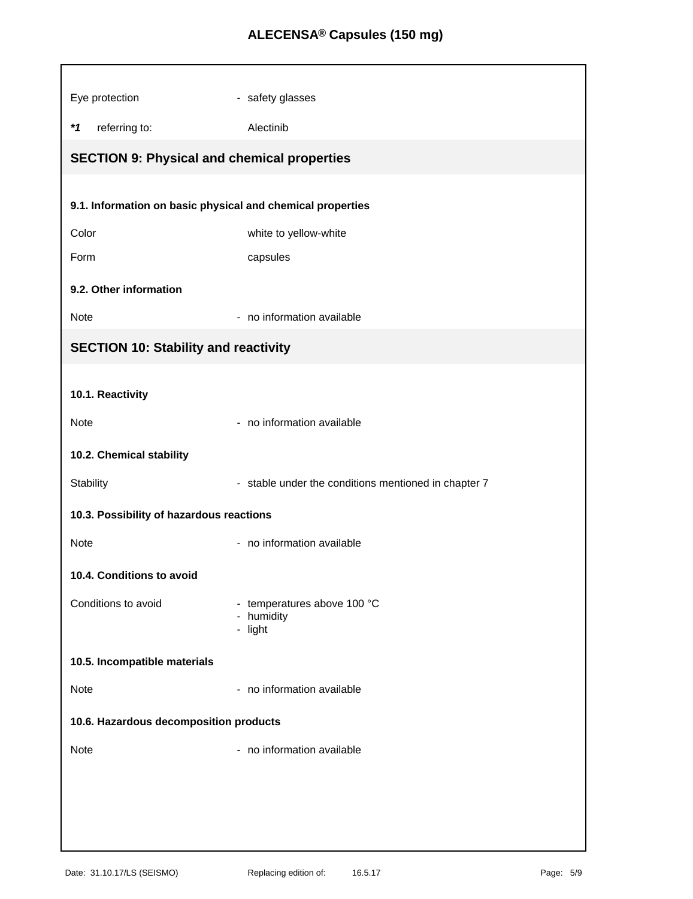## **ALECENSA® Capsules (150 mg)**

| Eye protection                                             | - safety glasses                                     |  |
|------------------------------------------------------------|------------------------------------------------------|--|
| $*1$<br>referring to:                                      | Alectinib                                            |  |
| <b>SECTION 9: Physical and chemical properties</b>         |                                                      |  |
|                                                            |                                                      |  |
| 9.1. Information on basic physical and chemical properties |                                                      |  |
| Color                                                      | white to yellow-white                                |  |
| Form                                                       | capsules                                             |  |
| 9.2. Other information                                     |                                                      |  |
| Note                                                       | - no information available                           |  |
| <b>SECTION 10: Stability and reactivity</b>                |                                                      |  |
|                                                            |                                                      |  |
| 10.1. Reactivity                                           |                                                      |  |
| Note                                                       | - no information available                           |  |
| 10.2. Chemical stability                                   |                                                      |  |
| Stability                                                  | - stable under the conditions mentioned in chapter 7 |  |
| 10.3. Possibility of hazardous reactions                   |                                                      |  |
| Note                                                       | - no information available                           |  |
| 10.4. Conditions to avoid                                  |                                                      |  |
| Conditions to avoid                                        | - temperatures above 100 °C<br>- humidity<br>- light |  |
|                                                            |                                                      |  |
| 10.5. Incompatible materials                               |                                                      |  |
| Note                                                       | - no information available                           |  |
| 10.6. Hazardous decomposition products                     |                                                      |  |
| Note                                                       | - no information available                           |  |
|                                                            |                                                      |  |
|                                                            |                                                      |  |
|                                                            |                                                      |  |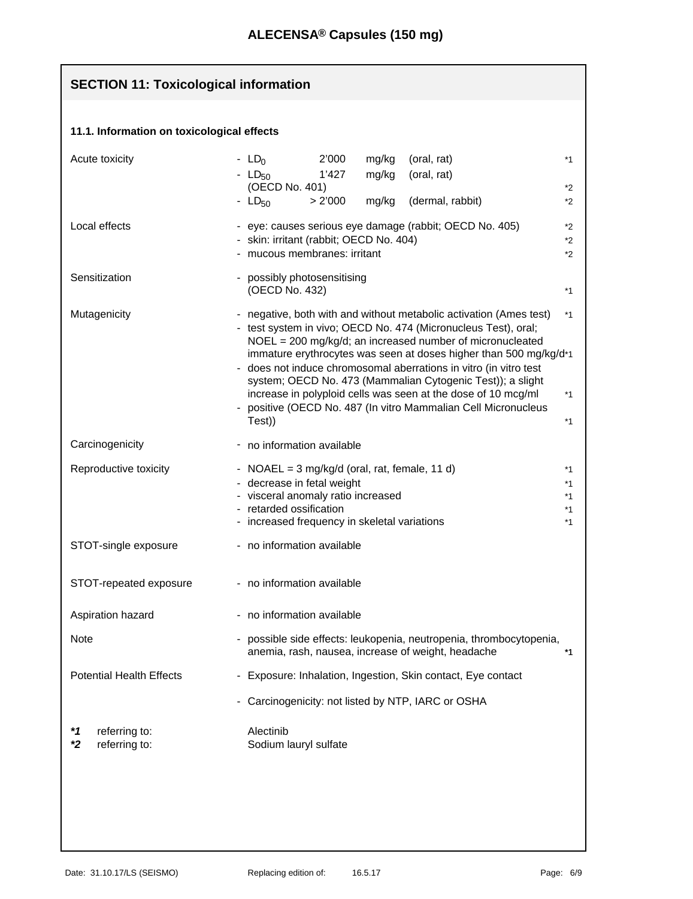| <b>SECTION 11: Toxicological information</b> |                                                                                                                                                                                                                                                                                                                                                                                                                                                                                                                                                                                |  |
|----------------------------------------------|--------------------------------------------------------------------------------------------------------------------------------------------------------------------------------------------------------------------------------------------------------------------------------------------------------------------------------------------------------------------------------------------------------------------------------------------------------------------------------------------------------------------------------------------------------------------------------|--|
| 11.1. Information on toxicological effects   |                                                                                                                                                                                                                                                                                                                                                                                                                                                                                                                                                                                |  |
| Acute toxicity                               | - $LD0$<br>2'000<br>mg/kg<br>(oral, rat)<br>$*1$<br>- $LD_{50}$<br>1'427<br>mg/kg<br>(oral, rat)<br>(OECD No. 401)<br>*2<br>$-LD50$<br>mg/kg<br>(dermal, rabbit)<br>> 2'000<br>*2                                                                                                                                                                                                                                                                                                                                                                                              |  |
| Local effects                                | - eye: causes serious eye damage (rabbit; OECD No. 405)<br>$*_{2}$<br>- skin: irritant (rabbit; OECD No. 404)<br>$*2$<br>- mucous membranes: irritant<br>*2                                                                                                                                                                                                                                                                                                                                                                                                                    |  |
| Sensitization                                | - possibly photosensitising<br>(OECD No. 432)<br>$*1$                                                                                                                                                                                                                                                                                                                                                                                                                                                                                                                          |  |
| Mutagenicity                                 | - negative, both with and without metabolic activation (Ames test)<br>$*1$<br>- test system in vivo; OECD No. 474 (Micronucleus Test), oral;<br>NOEL = 200 mg/kg/d; an increased number of micronucleated<br>immature erythrocytes was seen at doses higher than 500 mg/kg/d*1<br>- does not induce chromosomal aberrations in vitro (in vitro test<br>system; OECD No. 473 (Mammalian Cytogenic Test)); a slight<br>increase in polyploid cells was seen at the dose of 10 mcg/ml<br>$*1$<br>- positive (OECD No. 487 (In vitro Mammalian Cell Micronucleus<br>Test))<br>$*1$ |  |
| Carcinogenicity                              | - no information available                                                                                                                                                                                                                                                                                                                                                                                                                                                                                                                                                     |  |
| Reproductive toxicity                        | - NOAEL = $3 \text{ mg/kg/d}$ (oral, rat, female, 11 d)<br>$*1$<br>- decrease in fetal weight<br>$*1$<br>- visceral anomaly ratio increased<br>$*1$<br>- retarded ossification<br>$*1$<br>- increased frequency in skeletal variations<br>$*1$                                                                                                                                                                                                                                                                                                                                 |  |
| STOT-single exposure                         | - no information available                                                                                                                                                                                                                                                                                                                                                                                                                                                                                                                                                     |  |
| STOT-repeated exposure                       | - no information available                                                                                                                                                                                                                                                                                                                                                                                                                                                                                                                                                     |  |
| Aspiration hazard                            | no information available<br>$\overline{\phantom{a}}$                                                                                                                                                                                                                                                                                                                                                                                                                                                                                                                           |  |
| Note                                         | possible side effects: leukopenia, neutropenia, thrombocytopenia,<br>anemia, rash, nausea, increase of weight, headache<br>*1                                                                                                                                                                                                                                                                                                                                                                                                                                                  |  |
| <b>Potential Health Effects</b>              | - Exposure: Inhalation, Ingestion, Skin contact, Eye contact                                                                                                                                                                                                                                                                                                                                                                                                                                                                                                                   |  |
|                                              | Carcinogenicity: not listed by NTP, IARC or OSHA                                                                                                                                                                                                                                                                                                                                                                                                                                                                                                                               |  |
| referring to:<br>*1<br>referring to:<br>*2   | Alectinib<br>Sodium lauryl sulfate                                                                                                                                                                                                                                                                                                                                                                                                                                                                                                                                             |  |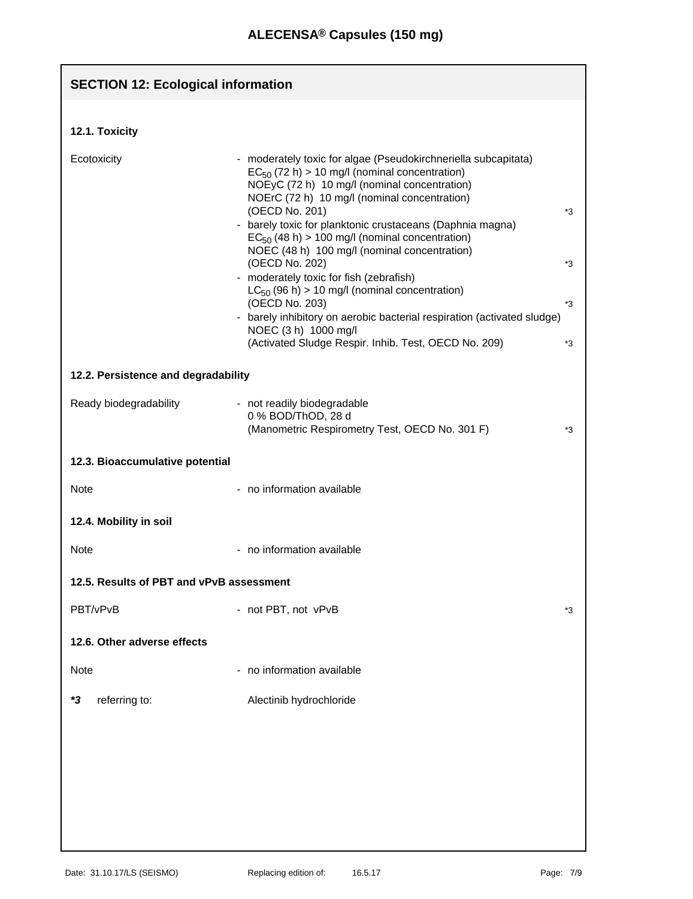| <b>SECTION 12: Ecological information</b> |                                                                                                                                                                                                                                                                                                                                                                                                                                                                                                                                                                                                                                                                                                            |                      |
|-------------------------------------------|------------------------------------------------------------------------------------------------------------------------------------------------------------------------------------------------------------------------------------------------------------------------------------------------------------------------------------------------------------------------------------------------------------------------------------------------------------------------------------------------------------------------------------------------------------------------------------------------------------------------------------------------------------------------------------------------------------|----------------------|
|                                           |                                                                                                                                                                                                                                                                                                                                                                                                                                                                                                                                                                                                                                                                                                            |                      |
| 12.1. Toxicity                            |                                                                                                                                                                                                                                                                                                                                                                                                                                                                                                                                                                                                                                                                                                            |                      |
| Ecotoxicity                               | - moderately toxic for algae (Pseudokirchneriella subcapitata)<br>$EC_{50}$ (72 h) > 10 mg/l (nominal concentration)<br>NOEyC (72 h) 10 mg/l (nominal concentration)<br>NOErC (72 h) 10 mg/l (nominal concentration)<br>(OECD No. 201)<br>- barely toxic for planktonic crustaceans (Daphnia magna)<br>$EC_{50}$ (48 h) > 100 mg/l (nominal concentration)<br>NOEC (48 h) 100 mg/l (nominal concentration)<br>(OECD No. 202)<br>- moderately toxic for fish (zebrafish)<br>$LC_{50}$ (96 h) > 10 mg/l (nominal concentration)<br>(OECD No. 203)<br>- barely inhibitory on aerobic bacterial respiration (activated sludge)<br>NOEC (3 h) 1000 mg/l<br>(Activated Sludge Respir. Inhib. Test, OECD No. 209) | *3<br>*3<br>*3<br>*3 |
| 12.2. Persistence and degradability       |                                                                                                                                                                                                                                                                                                                                                                                                                                                                                                                                                                                                                                                                                                            |                      |
| Ready biodegradability                    | - not readily biodegradable<br>0 % BOD/ThOD, 28 d<br>(Manometric Respirometry Test, OECD No. 301 F)                                                                                                                                                                                                                                                                                                                                                                                                                                                                                                                                                                                                        | *3                   |
| 12.3. Bioaccumulative potential           |                                                                                                                                                                                                                                                                                                                                                                                                                                                                                                                                                                                                                                                                                                            |                      |
| Note                                      | - no information available                                                                                                                                                                                                                                                                                                                                                                                                                                                                                                                                                                                                                                                                                 |                      |
| 12.4. Mobility in soil                    |                                                                                                                                                                                                                                                                                                                                                                                                                                                                                                                                                                                                                                                                                                            |                      |
| Note                                      | - no information available                                                                                                                                                                                                                                                                                                                                                                                                                                                                                                                                                                                                                                                                                 |                      |
| 12.5. Results of PBT and vPvB assessment  |                                                                                                                                                                                                                                                                                                                                                                                                                                                                                                                                                                                                                                                                                                            |                      |
| PBT/vPvB                                  | - not PBT, not vPvB                                                                                                                                                                                                                                                                                                                                                                                                                                                                                                                                                                                                                                                                                        | *3                   |
| 12.6. Other adverse effects               |                                                                                                                                                                                                                                                                                                                                                                                                                                                                                                                                                                                                                                                                                                            |                      |
| <b>Note</b>                               | no information available<br>$\overline{\phantom{0}}$                                                                                                                                                                                                                                                                                                                                                                                                                                                                                                                                                                                                                                                       |                      |
| referring to:<br>*3                       | Alectinib hydrochloride                                                                                                                                                                                                                                                                                                                                                                                                                                                                                                                                                                                                                                                                                    |                      |
|                                           |                                                                                                                                                                                                                                                                                                                                                                                                                                                                                                                                                                                                                                                                                                            |                      |
|                                           |                                                                                                                                                                                                                                                                                                                                                                                                                                                                                                                                                                                                                                                                                                            |                      |
|                                           |                                                                                                                                                                                                                                                                                                                                                                                                                                                                                                                                                                                                                                                                                                            |                      |
|                                           |                                                                                                                                                                                                                                                                                                                                                                                                                                                                                                                                                                                                                                                                                                            |                      |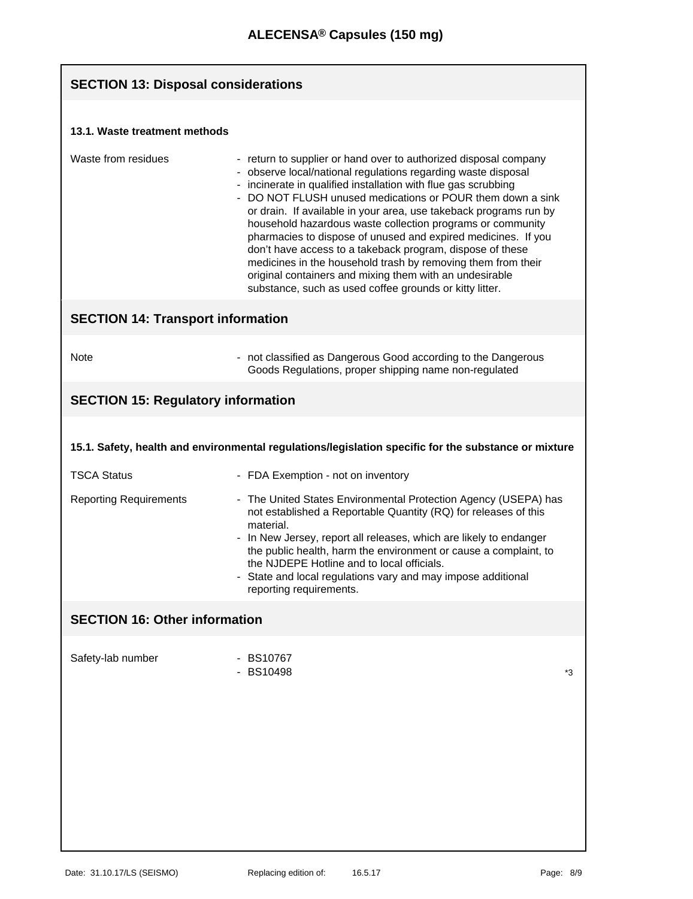| <b>SECTION 13: Disposal considerations</b> |                                                                                                                                                                                                                                                                                                                                                                                                                                                                                                                                                                                                                                                                                                                          |    |
|--------------------------------------------|--------------------------------------------------------------------------------------------------------------------------------------------------------------------------------------------------------------------------------------------------------------------------------------------------------------------------------------------------------------------------------------------------------------------------------------------------------------------------------------------------------------------------------------------------------------------------------------------------------------------------------------------------------------------------------------------------------------------------|----|
| 13.1. Waste treatment methods              |                                                                                                                                                                                                                                                                                                                                                                                                                                                                                                                                                                                                                                                                                                                          |    |
| Waste from residues                        | - return to supplier or hand over to authorized disposal company<br>- observe local/national regulations regarding waste disposal<br>- incinerate in qualified installation with flue gas scrubbing<br>- DO NOT FLUSH unused medications or POUR them down a sink<br>or drain. If available in your area, use takeback programs run by<br>household hazardous waste collection programs or community<br>pharmacies to dispose of unused and expired medicines. If you<br>don't have access to a takeback program, dispose of these<br>medicines in the household trash by removing them from their<br>original containers and mixing them with an undesirable<br>substance, such as used coffee grounds or kitty litter. |    |
| <b>SECTION 14: Transport information</b>   |                                                                                                                                                                                                                                                                                                                                                                                                                                                                                                                                                                                                                                                                                                                          |    |
| <b>Note</b>                                | - not classified as Dangerous Good according to the Dangerous<br>Goods Regulations, proper shipping name non-regulated                                                                                                                                                                                                                                                                                                                                                                                                                                                                                                                                                                                                   |    |
| <b>SECTION 15: Regulatory information</b>  |                                                                                                                                                                                                                                                                                                                                                                                                                                                                                                                                                                                                                                                                                                                          |    |
|                                            | 15.1. Safety, health and environmental regulations/legislation specific for the substance or mixture                                                                                                                                                                                                                                                                                                                                                                                                                                                                                                                                                                                                                     |    |
| <b>TSCA Status</b>                         | - FDA Exemption - not on inventory                                                                                                                                                                                                                                                                                                                                                                                                                                                                                                                                                                                                                                                                                       |    |
| <b>Reporting Requirements</b>              | - The United States Environmental Protection Agency (USEPA) has<br>not established a Reportable Quantity (RQ) for releases of this<br>material.<br>- In New Jersey, report all releases, which are likely to endanger<br>the public health, harm the environment or cause a complaint, to<br>the NJDEPE Hotline and to local officials.<br>State and local regulations vary and may impose additional<br>reporting requirements.                                                                                                                                                                                                                                                                                         |    |
| <b>SECTION 16: Other information</b>       |                                                                                                                                                                                                                                                                                                                                                                                                                                                                                                                                                                                                                                                                                                                          |    |
| Safety-lab number                          | - BS10767<br><b>BS10498</b>                                                                                                                                                                                                                                                                                                                                                                                                                                                                                                                                                                                                                                                                                              | *3 |